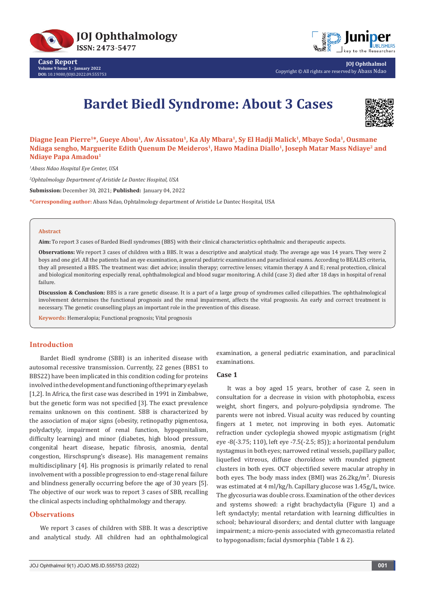

**Case Report Volume 9 Issue 1 - January 2022 DOI:** [10.19080/JOJO.2022.09.55575](http://dx.doi.org/10.19080/JOJO.2022.09.555753)3



**JOJ Ophthalmol** Copyright © All rights are reserved by Abass Ndao

# **Bardet Biedl Syndrome: About 3 Cases**



Diagne Jean Pierre<sup>1\*</sup>, Gueye Abou<sup>1</sup>, Aw Aissatou<sup>1</sup>, Ka Aly Mbara<sup>1</sup>, Sy El Hadji Malick<sup>1</sup>, Mbaye Soda<sup>1</sup>, Ousmane Ndiaga sengho, Marguerite Edith Quenum De Meideros<sup>1</sup>, Hawo Madina Diallo<sup>1</sup>, Joseph Matar Mass Ndiaye<sup>2</sup> and **Ndiaye Papa Amadou1**

*1 Abass Ndao Hospital Eye Center, USA*

*2 Ophtalmology Department of Aristide Le Dantec Hospital, USA*

**Submission:** December 30, 2021; **Published:** January 04, 2022

**\*Corresponding author:** Abass Ndao, Ophtalmology department of Aristide Le Dantec Hospital, USA

#### **Abstract**

**Aim:** To report 3 cases of Barded Biedl syndromes (BBS) with their clinical characteristics ophthalmic and therapeutic aspects.

**Observations:** We report 3 cases of children with a BBS. It was a descriptive and analytical study. The average age was 14 years. They were 2 boys and one girl. All the patients had an eye examination, a general pediatric examination and paraclinical exams. According to BEALES criteria, they all presented a BBS. The treatment was: diet advice; insulin therapy; corrective lenses; vitamin therapy A and E; renal protection, clinical and biological monitoring especially renal, ophthalmological and blood sugar monitoring. A child (case 3) died after 18 days in hospital of renal failure.

**Discussion & Conclusion:** BBS is a rare genetic disease. It is a part of a large group of syndromes called ciliopathies. The ophthalmological involvement determines the functional prognosis and the renal impairment, affects the vital prognosis. An early and correct treatment is necessary. The genetic counselling plays an important role in the prevention of this disease.

**Keywords:** Hemeralopia; Functional prognosis; Vital prognosis

## **Introduction**

Bardet Biedl syndrome (SBB) is an inherited disease with autosomal recessive transmission. Currently, 22 genes (BBS1 to BBS22) have been implicated in this condition coding for proteins involved in the development and functioning of the primary eyelash [1,2]. In Africa, the first case was described in 1991 in Zimbabwe, but the genetic form was not specified [3]. The exact prevalence remains unknown on this continent. SBB is characterized by the association of major signs (obesity, retinopathy pigmentosa, polydactyly, impairment of renal function, hypogenitalism, difficulty learning) and minor (diabetes, high blood pressure, congenital heart disease, hepatic fibrosis, anosmia, dental congestion, Hirschsprung's disease). His management remains multidisciplinary [4]. His prognosis is primarily related to renal involvement with a possible progression to end-stage renal failure and blindness generally occurring before the age of 30 years [5]. The objective of our work was to report 3 cases of SBB, recalling the clinical aspects including ophthalmology and therapy.

# **Observations**

We report 3 cases of children with SBB. It was a descriptive and analytical study. All children had an ophthalmological

examination, a general pediatric examination, and paraclinical examinations.

# **Case 1**

It was a boy aged 15 years, brother of case 2, seen in consultation for a decrease in vision with photophobia, excess weight, short fingers, and polyuro-polydipsia syndrome. The parents were not inbred. Visual acuity was reduced by counting fingers at 1 meter, not improving in both eyes. Automatic refraction under cycloplegia showed myopic astigmatism (right eye -8(-3.75; 110), left eye -7.5(-2.5; 85)); a horizontal pendulum nystagmus in both eyes; narrowed retinal vessels, papillary pallor, liquefied vitreous, diffuse choroїdose with rounded pigment clusters in both eyes. OCT objectified severe macular atrophy in both eyes. The body mass index (BMI) was  $26.2 \text{kg/m}^2$ . Diuresis was estimated at 4 ml/kg/h. Capillary glucose was 1.45g/L, twice. The glycosuria was double cross. Examination of the other devices and systems showed: a right brachydactylia (Figure 1) and a left syndactyly; mental retardation with learning difficulties in school; behavioural disorders; and dental clutter with language impairment; a micro-penis associated with gynecomastia related to hypogonadism; facial dysmorphia (Table 1 & 2).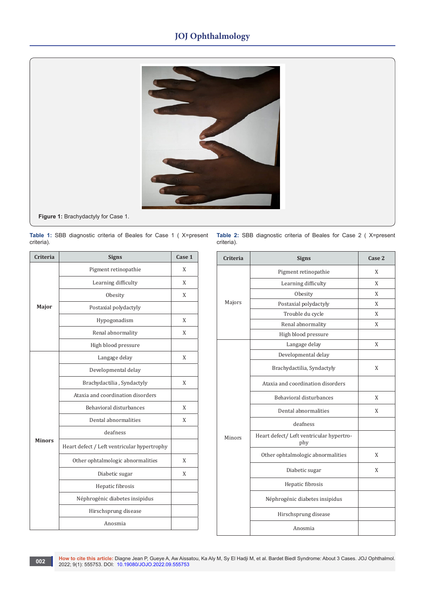# **JOJ Ophthalmology**



**Figure 1:** Brachydactyly for Case 1.

**Table 1:** SBB diagnostic criteria of Beales for Case 1 ( X=present criteria).

| Criteria      | <b>Signs</b>                                | Case 1 |
|---------------|---------------------------------------------|--------|
| Major         | Pigment retinopathie                        | X      |
|               | Learning difficulty                         | X      |
|               | Obesity                                     | X      |
|               | Postaxial polydactyly                       |        |
|               | Hypogonadism                                | X      |
|               | Renal abnormality                           | X      |
|               | High blood pressure                         |        |
| <b>Minors</b> | Langage delay                               | X      |
|               | Developmental delay                         |        |
|               | Brachydactilia, Syndactyly                  | X      |
|               | Ataxia and coordination disorders           |        |
|               | Behavioral disturbances                     | X      |
|               | Dental abnormalities                        | X      |
|               | deafness                                    |        |
|               | Heart defect / Left ventricular hypertrophy |        |
|               | Other ophtalmologic abnormalities           | X      |
|               | Diabetic sugar                              | X      |
|               | Hepatic fibrosis                            |        |
|               | Néphrogénic diabetes insipidus              |        |
|               | Hirschsprung disease                        |        |
|               | Anosmia                                     |        |

Table 2: SBB diagnostic criteria of Beales for Case 2 (X=present criteria).

| <b>Criteria</b> | <b>Signs</b>                                    | Case 2 |
|-----------------|-------------------------------------------------|--------|
| Majors          | Pigment retinopathie                            | Χ      |
|                 | Learning difficulty                             | X      |
|                 | Obesity                                         | X      |
|                 | Postaxial polydactyly                           | X      |
|                 | Trouble du cycle                                | X      |
|                 | Renal abnormality                               | X      |
|                 | High blood pressure                             |        |
| Minors          | Langage delay                                   | X      |
|                 | Developmental delay                             |        |
|                 | Brachydactilia, Syndactyly                      | X      |
|                 | Ataxia and coordination disorders               |        |
|                 | Behavioral disturbances                         | X      |
|                 | Dental abnormalities                            | X      |
|                 | deafness                                        |        |
|                 | Heart defect/ Left ventricular hypertro-<br>phy |        |
|                 | Other ophtalmologic abnormalities               | X      |
|                 | Diabetic sugar                                  | X      |
|                 | Hepatic fibrosis                                |        |
|                 | Néphrogénic diabetes insipidus                  |        |
|                 | Hirschsprung disease                            |        |
|                 | Anosmia                                         |        |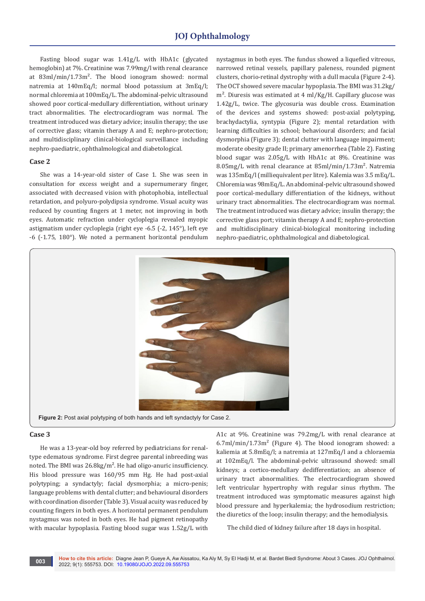# **JOJ Ophthalmology**

Fasting blood sugar was 1.41g/L with HbA1c (glycated hemoglobin) at 7%. Creatinine was 7.99mg/l with renal clearance at 83ml/min/1.73m². The blood ionogram showed: normal natremia at 140mEq/l; normal blood potassium at 3mEq/l; normal chloremia at 100mEq/L. The abdominal-pelvic ultrasound showed poor cortical-medullary differentiation, without urinary tract abnormalities. The electrocardiogram was normal. The treatment introduced was dietary advice; insulin therapy; the use of corrective glass; vitamin therapy A and E; nephro-protection; and multidisciplinary clinical-biological surveillance including nephro-paediatric, ophthalmological and diabetological.

## **Case 2**

She was a 14-year-old sister of Case 1. She was seen in consultation for excess weight and a supernumerary finger, associated with decreased vision with photophobia, intellectual retardation, and polyuro-polydipsia syndrome. Visual acuity was reduced by counting fingers at 1 meter, not improving in both eyes. Automatic refraction under cycloplegia revealed myopic astigmatism under cycloplegia (right eye -6.5 (-2, 145°), left eye -6 (-1.75, 180°). We noted a permanent horizontal pendulum

nystagmus in both eyes. The fundus showed a liquefied vitreous, narrowed retinal vessels, papillary paleness, rounded pigment clusters, chorio-retinal dystrophy with a dull macula (Figure 2-4). The OCT showed severe macular hypoplasia. The BMI was 31.2kg/ m². Diuresis was estimated at 4 ml/Kg/H. Capillary glucose was 1.42g/L, twice. The glycosuria was double cross. Examination of the devices and systems showed: post-axial polytyping, brachydactylia, syntypia (Figure 2); mental retardation with learning difficulties in school; behavioural disorders; and facial dysmorphia (Figure 3); dental clutter with language impairment; moderate obesity grade II; primary amenorrhea (Table 2). Fasting blood sugar was 2.05g/L with HbA1c at 8%. Creatinine was 8.05mg/L with renal clearance at 85ml/min/1.73m<sup>2</sup>. Natremia was 135mEq/l (milliequivalent per litre). Kalemia was 3.5 mEq/L. Chloremia was 98mEq/L. An abdominal-pelvic ultrasound showed poor cortical-medullary differentiation of the kidneys, without urinary tract abnormalities. The electrocardiogram was normal. The treatment introduced was dietary advice; insulin therapy; the corrective glass port; vitamin therapy A and E; nephro-protection and multidisciplinary clinical-biological monitoring including nephro-paediatric, ophthalmological and diabetological.



#### **Case 3**

He was a 13-year-old boy referred by pediatricians for renaltype edematous syndrome. First degree parental inbreeding was noted. The BMI was 26.8kg/m². He had oligo-anuric insufficiency. His blood pressure was 160/95 mm Hg. He had post-axial polytyping; a syndactyly; facial dysmorphia; a micro-penis; language problems with dental clutter; and behavioural disorders with coordination disorder (Table 3). Visual acuity was reduced by counting fingers in both eyes. A horizontal permanent pendulum nystagmus was noted in both eyes. He had pigment retinopathy with macular hypoplasia. Fasting blood sugar was 1.52g/L with

A1c at 9%. Creatinine was 79.2mg/L with renal clearance at  $6.7$ ml/min/1.73m<sup>2</sup> (Figure 4). The blood ionogram showed: a kaliemia at 5.8mEq/l; a natremia at 127mEq/l and a chloraemia at 102mEq/l. The abdominal-pelvic ultrasound showed: small kidneys; a cortico-medullary dedifferentiation; an absence of urinary tract abnormalities. The electrocardiogram showed left ventricular hypertrophy with regular sinus rhythm. The treatment introduced was symptomatic measures against high blood pressure and hyperkalemia; the hydrosodium restriction; the diuretics of the loop; insulin therapy; and the hemodialysis.

The child died of kidney failure after 18 days in hospital.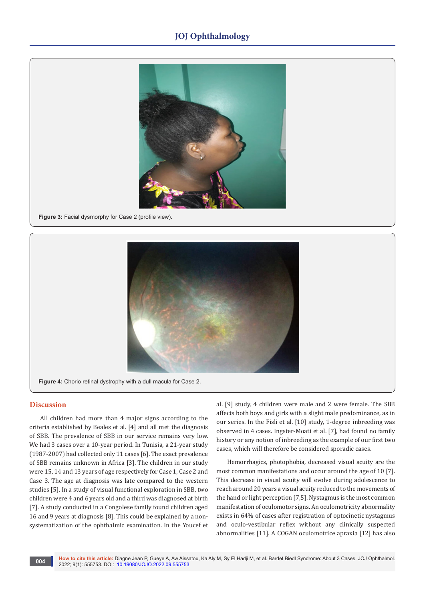# **JOJ Ophthalmology**



**Figure 3: Facial dysmorphy for Case 2 (profile view).** 



**Figure 4:** Chorio retinal dystrophy with a dull macula for Case 2.

# **Discussion**

All children had more than 4 major signs according to the criteria established by Beales et al. [4] and all met the diagnosis of SBB. The prevalence of SBB in our service remains very low. We had 3 cases over a 10-year period. In Tunisia, a 21-year study (1987-2007) had collected only 11 cases [6]. The exact prevalence of SBB remains unknown in Africa [3]. The children in our study were 15, 14 and 13 years of age respectively for Case 1, Case 2 and Case 3. The age at diagnosis was late compared to the western studies [5]. In a study of visual functional exploration in SBB, two children were 4 and 6 years old and a third was diagnosed at birth [7]. A study conducted in a Congolese family found children aged 16 and 9 years at diagnosis [8]. This could be explained by a nonsystematization of the ophthalmic examination. In the Youcef et al. [9] study, 4 children were male and 2 were female. The SBB affects both boys and girls with a slight male predominance, as in our series. In the Fisli et al. [10] study, 1-degree inbreeding was observed in 4 cases. Ingster-Moati et al. [7], had found no family history or any notion of inbreeding as the example of our first two cases, which will therefore be considered sporadic cases.

Hemorrhagics, photophobia, decreased visual acuity are the most common manifestations and occur around the age of 10 [7]. This decrease in visual acuity will evolve during adolescence to reach around 20 years a visual acuity reduced to the movements of the hand or light perception [7,5]. Nystagmus is the most common manifestation of oculomotor signs. An oculomotricity abnormality exists in 64% of cases after registration of optocinetic nystagmus and oculo-vestibular reflex without any clinically suspected abnormalities [11]. A COGAN oculomotrice apraxia [12] has also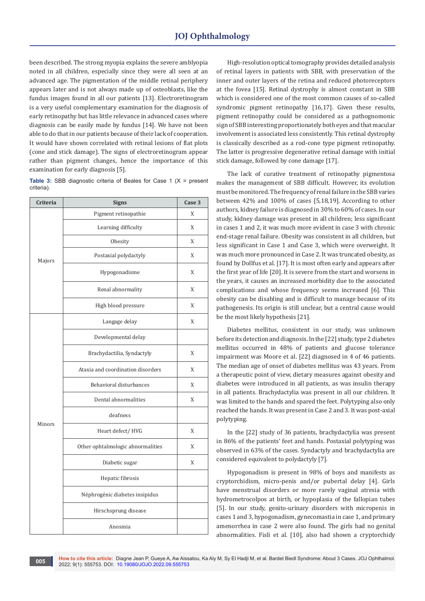been described. The strong myopia explains the severe amblyopia noted in all children, especially since they were all seen at an advanced age. The pigmentation of the middle retinal periphery appears later and is not always made up of osteoblasts, like the fundus images found in all our patients [13]. Electroretinogram is a very useful complementary examination for the diagnosis of early retinopathy but has little relevance in advanced cases where diagnosis can be easily made by fundus [14]. We have not been able to do that in our patients because of their lack of cooperation. It would have shown correlated with retinal lesions of flat plots (cone and stick damage). The signs of electroretinogram appear rather than pigment changes, hence the importance of this examination for early diagnosis [5].

**Table 3:** SBB diagnostic criteria of Beales for Case 1 (X = present criteria).

| <b>Criteria</b> | <b>Signs</b>                      | Case 3 |
|-----------------|-----------------------------------|--------|
| Majors          | Pigment retinopathie              | X      |
|                 | Learning difficulty               | X      |
|                 | Obesity                           | X      |
|                 | Postaxial polydactyly             | X      |
|                 | Hypogonadisme                     | X      |
|                 | Renal abnormality                 | X      |
|                 | High blood pressure               | X      |
|                 | Langage delay                     | X      |
|                 | Developmental delay               |        |
|                 | Brachydactilia, Syndactyly        | X      |
|                 | Ataxia and coordination disorders | X      |
|                 | Behavioral disturbances           | X      |
|                 | Dental abnormalities              | X      |
|                 | deafness                          |        |
| Minors          | Heart defect/HVG                  | X      |
|                 | Other ophtalmologic abnormalities | X      |
|                 | Diabetic sugar                    | X      |
|                 | Hepatic fibrosis                  |        |
|                 | Néphrogénic diabetes insipidus    |        |
|                 | Hirschsprung disease              |        |
|                 | Anosmia                           |        |

High-resolution optical tomography provides detailed analysis of retinal layers in patients with SBB, with preservation of the inner and outer layers of the retina and reduced photoreceptors at the fovea [15]. Retinal dystrophy is almost constant in SBB which is considered one of the most common causes of so-called syndromic pigment retinopathy [16,17]. Given these results, pigment retinopathy could be considered as a pathognomonic sign of SBB interesting proportionately both eyes and that macular involvement is associated less consistently. This retinal dystrophy is classically described as a rod-cone type pigment retinopathy. The latter is progressive degenerative retinal damage with initial stick damage, followed by cone damage [17].

The lack of curative treatment of retinopathy pigmentosa makes the management of SBB difficult. However, its evolution must be monitored. The frequency of renal failure in the SBB varies between 42% and 100% of cases [5,18,19]. According to other authors, kidney failure is diagnosed in 30% to 60% of cases. In our study, kidney damage was present in all children; less significant in cases 1 and 2, it was much more evident in case 3 with chronic end-stage renal failure. Obesity was consistent in all children, but less significant in Case 1 and Case 3, which were overweight. It was much more pronounced in Case 2. It was truncated obesity, as found by Dollfus et al. [17]. It is most often early and appears after the first year of life [20]. It is severe from the start and worsens in the years, it causes an increased morbidity due to the associated complications and whose frequency seems increased [6]. This obesity can be disabling and is difficult to manage because of its pathogenesis. Its origin is still unclear, but a central cause would be the most likely hypothesis [21].

Diabetes mellitus, consistent in our study, was unknown before its detection and diagnosis. In the [22] study, type 2 diabetes mellitus occurred in 48% of patients and glucose tolerance impairment was Moore et al. [22] diagnosed in 4 of 46 patients. The median age of onset of diabetes mellitus was 43 years. From a therapeutic point of view, dietary measures against obesity and diabetes were introduced in all patients, as was insulin therapy in all patients. Brachydactylia was present in all our children. It was limited to the hands and spared the feet. Polytyping also only reached the hands. It was present in Case 2 and 3. It was post-axial polytyping.

In the [22] study of 36 patients, brachydactylia was present in 86% of the patients' feet and hands. Postaxial polytyping was observed in 63% of the cases. Syndactyly and brachydactylia are considered equivalent to polydactyly [7].

Hypogonadism is present in 98% of boys and manifests as cryptorchidism, micro-penis and/or pubertal delay [4]. Girls have menstrual disorders or more rarely vaginal atresia with hydrometrocolpos at birth, or hypoplasia of the fallopian tubes [5]. In our study, genito-urinary disorders with micropenis in cases 1 and 3, hypogonadism, gynecomastia in case 1, and primary amenorrhea in case 2 were also found. The girls had no genital abnormalities. Fisli et al. [10], also had shown a cryptorchidy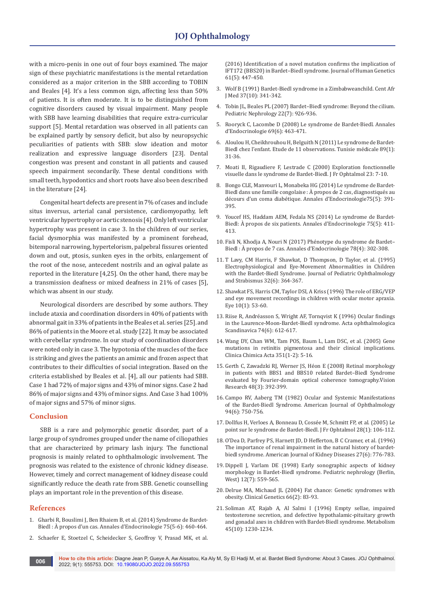with a micro-penis in one out of four boys examined. The major sign of these psychiatric manifestations is the mental retardation considered as a major criterion in the SBB according to TOBIN and Beales [4]. It's a less common sign, affecting less than 50% of patients. It is often moderate. It is to be distinguished from cognitive disorders caused by visual impairment. Many people with SBB have learning disabilities that require extra-curricular support [5]. Mental retardation was observed in all patients can be explained partly by sensory deficit, but also by neuropsychic peculiarities of patients with SBB: slow ideation and motor realization and expressive language disorders [23]. Dental congestion was present and constant in all patients and caused speech impairment secondarily. These dental conditions with small teeth, hypodontics and short roots have also been described in the literature [24].

Congenital heart defects are present in 7% of cases and include situs inversus, arterial canal persistence, cardiomyopathy, left ventricular hypertrophy or aortic stenosis [4]. Only left ventricular hypertrophy was present in case 3. In the children of our series, facial dysmorphia was manifested by a prominent forehead, bitemporal narrowing, hypertelorism, palpebral fissures oriented down and out, ptosis, sunken eyes in the orbits, enlargement of the root of the nose, antecedent nostrils and an ogival palate as reported in the literature [4,25]. On the other hand, there may be a transmission deafness or mixed deafness in 21% of cases [5], which was absent in our study.

Neurological disorders are described by some authors. They include ataxia and coordination disorders in 40% of patients with abnormal gait in 33% of patients in the Beales et al. series [25]. and 86% of patients in the Moore et al. study [22]. It may be associated with cerebellar syndrome. In our study of coordination disorders were noted only in case 3. The hypotonia of the muscles of the face is striking and gives the patients an amimic and frozen aspect that contributes to their difficulties of social integration. Based on the criteria established by Beales et al. [4], all our patients had SBB. Case 1 had 72% of major signs and 43% of minor signs. Case 2 had 86% of major signs and 43% of minor signs. And Case 3 had 100% of major signs and 57% of minor signs.

# **Conclusion**

SBB is a rare and polymorphic genetic disorder, part of a large group of syndromes grouped under the name of ciliopathies that are characterized by primary lash injury. The functional prognosis is mainly related to ophthalmologic involvement. The prognosis was related to the existence of chronic kidney disease. However, timely and correct management of kidney disease could significantly reduce the death rate from SBB. Genetic counselling plays an important role in the prevention of this disease.

#### **References**

- 1. Gharbi R, Bouslimi J, Ben Rhaiem B, et al. (2014) Syndrome de Bardet-Biedl : À propos d'un cas. Annales d'Endocrinologie 75(5-6): 460-464.
- 2. [Schaefer E, Stoetzel C, Scheidecker S, Geoffroy V, Prasad MK, et al.](https://pubmed.ncbi.nlm.nih.gov/26763875/)

[\(2016\) Identification of a novel mutation confirms the implication of](https://pubmed.ncbi.nlm.nih.gov/26763875/)  [IFT172 \(BBS20\) in Bardet–Biedl syndrome. Journal of Human Genetics](https://pubmed.ncbi.nlm.nih.gov/26763875/)  [61\(5\): 447-450.](https://pubmed.ncbi.nlm.nih.gov/26763875/)

- 3. [Wolf B \(1991\) Bardet-Biedl syndrome in a Zimbabweanchild. Cent Afr](https://pubmed.ncbi.nlm.nih.gov/1813131/)  [J Med 37\(10\): 341-342.](https://pubmed.ncbi.nlm.nih.gov/1813131/)
- 4. [Tobin JL, Beales PL \(2007\) Bardet–Biedl syndrome: Beyond the cilium.](https://pubmed.ncbi.nlm.nih.gov/17357787/)  [Pediatric Nephrology 22\(7\): 926-936.](https://pubmed.ncbi.nlm.nih.gov/17357787/)
- 5. [Rooryck C, Lacombe D \(2008\) Le syndrome de Bardet-Biedl. Annales](https://www.hsd-fmsb.org/index.php/hsd/article/view/946)  [d'Endocrinologie 69\(6\): 463-471.](https://www.hsd-fmsb.org/index.php/hsd/article/view/946)
- 6. Aloulou H, Cheikhrouhou H, Belguith N (2011) Le syndrome de Bardet-Biedl chez l'enfant. Etude de 11 observations. Tunisie médicale 89(1): 31-36.
- 7. [Moati II, Rigaudiere F, Lestrade C \(2000\) Exploration fonctionnelle](https://metrovision.fr/pdf/2000_ingster_moatti.pdf)  [visuelle dans le syndrome de Bardet-Biedl. J Fr Ophtalmol 23: 7-10.](https://metrovision.fr/pdf/2000_ingster_moatti.pdf)
- 8. [Bongo CLE, Manvouri L, Monabeka HG \(2014\) Le syndrome de Bardet-](https://www.em-consulte.com/article/930419/article/le-syndrome-de-bardet-biedl-dans-une-famille-congo)[Biedl dans une famille congolaise : À propos de 2 cas, diagnostiqués au](https://www.em-consulte.com/article/930419/article/le-syndrome-de-bardet-biedl-dans-une-famille-congo)  [décours d'un coma diabétique. Annales d'Endocrinologie75\(5\): 391-](https://www.em-consulte.com/article/930419/article/le-syndrome-de-bardet-biedl-dans-une-famille-congo) [395.](https://www.em-consulte.com/article/930419/article/le-syndrome-de-bardet-biedl-dans-une-famille-congo)
- 9. [Youcef HS, Haddam AEM, Fedala NS \(2014\) Le syndrome de Bardet-](C://Users/Admin/Downloads/agboranderson2000,+CC+SYLLA+BAMAKO++Bardet+Biedell.pdf)[Biedl: À propos de six patients. Annales d'Endocrinologie 75\(5\): 411-](C://Users/Admin/Downloads/agboranderson2000,+CC+SYLLA+BAMAKO++Bardet+Biedell.pdf) [413.](C://Users/Admin/Downloads/agboranderson2000,+CC+SYLLA+BAMAKO++Bardet+Biedell.pdf)
- 10. [Fisli N, Khodja A, Nouri N \(2017\) Phénotype du syndrome de Bardet–](https://pubmed.ncbi.nlm.nih.gov/8587019/) Biedl : [À propos de 7 cas. Annales d'Endocrinologie 78\(4\): 302-308.](https://pubmed.ncbi.nlm.nih.gov/8587019/)
- 11. [T Lavy, CM Harris, F Shawkat, D Thompson, D Taylor, et al. \(1995\)](https://pubmed.ncbi.nlm.nih.gov/8587019/)  [Electrophysiological and Eye-Movement Abnormalities in Children](https://pubmed.ncbi.nlm.nih.gov/8587019/)  [with the Bardet-Biedl Syndrome. Journal of Pediatric Ophthalmology](https://pubmed.ncbi.nlm.nih.gov/8587019/)  [and Strabismus 32\(6\): 364-367.](https://pubmed.ncbi.nlm.nih.gov/8587019/)
- 12. [Shawkat FS, Harris CM, Taylor DSI, A Kriss \(1996\) The role of ERG/VEP](https://pubmed.ncbi.nlm.nih.gov/8763304/)  [and eye movement recordings in children with ocular motor apraxia.](https://pubmed.ncbi.nlm.nih.gov/8763304/)  [Eye 10\(1\): 53-60.](https://pubmed.ncbi.nlm.nih.gov/8763304/)
- 13. [Riise R, Andréasson S, Wright AF, Tornqvist K \(1996\) Ocular findings](https://pubmed.ncbi.nlm.nih.gov/9017053/)  [in the Laurence-Moon-Bardet-Biedl syndrome. Acta ophthalmologica](https://pubmed.ncbi.nlm.nih.gov/9017053/)  [Scandinavica 74\(6\): 612-617.](https://pubmed.ncbi.nlm.nih.gov/9017053/)
- 14. [Wang DY, Chan WM, Tam POS, Baum L, Lam DSC, et al. \(2005\) Gene](https://pubmed.ncbi.nlm.nih.gov/15563868/)  [mutations in retinitis pigmentosa and their clinical implications.](https://pubmed.ncbi.nlm.nih.gov/15563868/)  [Clinica Chimica Acta 351\(1-2\): 5-16.](https://pubmed.ncbi.nlm.nih.gov/15563868/)
- 15. [Gerth C, Zawadzki RJ, Werner JS, Héon E \(2008\) Retinal morphology](https://pubmed.ncbi.nlm.nih.gov/17980398/)  [in patients with BBS1 and BBS10 related Bardet–Biedl Syndrome](https://pubmed.ncbi.nlm.nih.gov/17980398/)  [evaluated by Fourier-domain optical coherence tomography.Vision](https://pubmed.ncbi.nlm.nih.gov/17980398/)  [Research 48\(3\): 392-399.](https://pubmed.ncbi.nlm.nih.gov/17980398/)
- 16. [Campo RV, Aaberg TM \(1982\) Ocular and Systemic Manifestations](https://pubmed.ncbi.nlm.nih.gov/7180914/)  [of the Bardet-Biedl Syndrome. American Journal of Ophthalmology](https://pubmed.ncbi.nlm.nih.gov/7180914/)  [94\(6\): 750-756.](https://pubmed.ncbi.nlm.nih.gov/7180914/)
- 17. [Dollfus H, Verloes A, Bonneau D, Cossée M, Schmitt FP, et al. \(2005\) Le](https://www.sciencedirect.com/science/article/abs/pii/S0181551205810320)  [point sur le syndrome de Bardet-Biedl. J Fr Ophtalmol 28\(1\): 106-112.](https://www.sciencedirect.com/science/article/abs/pii/S0181551205810320)
- 18. [O'Dea D, Parfrey PS, Harnett JD, D Hefferton, B C Cramer, et al. \(1996\)](https://pubmed.ncbi.nlm.nih.gov/8651240/)  [The importance of renal impairment in the natural history of bardet](https://pubmed.ncbi.nlm.nih.gov/8651240/)[biedl syndrome. American Journal of Kidney Diseases 27\(6\): 776-783.](https://pubmed.ncbi.nlm.nih.gov/8651240/)
- 19. [Dippell J, Varlam DE \(1998\) Early sonographic aspects of kidney](https://pubmed.ncbi.nlm.nih.gov/9761354/)  [morphology in Bardet-Biedl syndrome. Pediatric nephrology \(Berlin,](https://pubmed.ncbi.nlm.nih.gov/9761354/)  [West\) 12\(7\): 559-565.](https://pubmed.ncbi.nlm.nih.gov/9761354/)
- 20. [Delrue MA, Michaud JL \(2004\) Fat chance: Genetic syndromes with](https://pubmed.ncbi.nlm.nih.gov/15253756/)  [obesity. Clinical Genetics 66\(2\): 83-93.](https://pubmed.ncbi.nlm.nih.gov/15253756/)
- 21. [Soliman AT, Rajab A, Al Salmi I \(1996\) Empty sellae, impaired](https://pubmed.ncbi.nlm.nih.gov/8843177/)  [testosterone secretion, and defective hypothalamic-pituitary growth](https://pubmed.ncbi.nlm.nih.gov/8843177/)  [and gonadal axes in children with Bardet-Biedl syndrome. Metabolism](https://pubmed.ncbi.nlm.nih.gov/8843177/)  [45\(10\): 1230-1234.](https://pubmed.ncbi.nlm.nih.gov/8843177/)